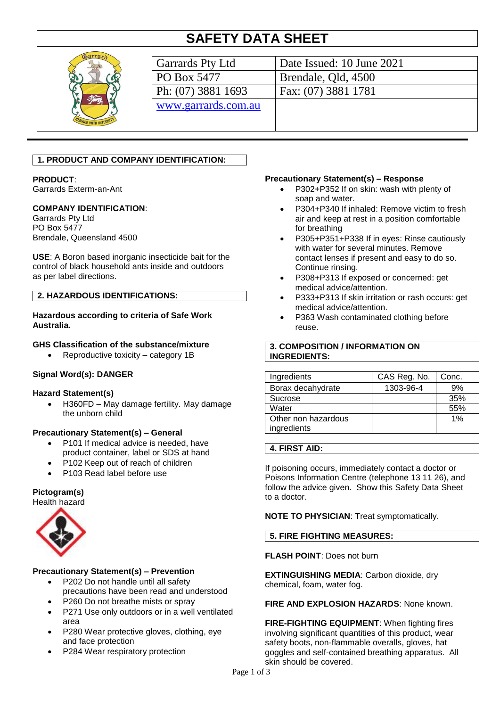# **SAFETY DATA SHEET**



| Garrards Pty Ltd    | Date Issued: 10 June 2021 |
|---------------------|---------------------------|
| PO Box 5477         | Brendale, Qld, 4500       |
| Ph: (07) 3881 1693  | Fax: (07) 3881 1781       |
| www.garrards.com.au |                           |
|                     |                           |
|                     |                           |

# **1. PRODUCT AND COMPANY IDENTIFICATION:**

# **PRODUCT**:

Garrards Exterm-an-Ant

### **COMPANY IDENTIFICATION**:

Garrards Pty Ltd PO Box 5477 Brendale, Queensland 4500

**USE**: A Boron based inorganic insecticide bait for the control of black household ants inside and outdoors as per label directions.

### **2. HAZARDOUS IDENTIFICATIONS:**

### **Hazardous according to criteria of Safe Work Australia.**

### **GHS Classification of the substance/mixture**

Reproductive toxicity – category 1B

### **Signal Word(s): DANGER**

#### **Hazard Statement(s)**

 H360FD – May damage fertility. May damage the unborn child

### **Precautionary Statement(s) – General**

- P101 If medical advice is needed, have product container, label or SDS at hand
- P102 Keep out of reach of children
- P103 Read label before use

### **Pictogram(s)**

Health hazard



### **Precautionary Statement(s) – Prevention**

- P202 Do not handle until all safety precautions have been read and understood
- P260 Do not breathe mists or spray
- P271 Use only outdoors or in a well ventilated area
- P280 Wear protective gloves, clothing, eye and face protection
- P284 Wear respiratory protection

#### **Precautionary Statement(s) – Response**

- P302+P352 If on skin: wash with plenty of soap and water.
- P304+P340 If inhaled: Remove victim to fresh air and keep at rest in a position comfortable for breathing
- P305+P351+P338 If in eyes: Rinse cautiously with water for several minutes. Remove contact lenses if present and easy to do so. Continue rinsing.
- P308+P313 If exposed or concerned: get medical advice/attention.
- P333+P313 If skin irritation or rash occurs: get medical advice/attention.
- P363 Wash contaminated clothing before reuse.

### **3. COMPOSITION / INFORMATION ON INGREDIENTS:**

| Ingredients                        | CAS Reg. No. | Conc. |
|------------------------------------|--------------|-------|
| Borax decahydrate                  | 1303-96-4    | 9%    |
| Sucrose                            |              | 35%   |
| Water                              |              | 55%   |
| Other non hazardous<br>ingredients |              | 1%    |

### **4. FIRST AID:**

If poisoning occurs, immediately contact a doctor or Poisons Information Centre (telephone 13 11 26), and follow the advice given. Show this Safety Data Sheet to a doctor.

**NOTE TO PHYSICIAN**: Treat symptomatically.

### **5. FIRE FIGHTING MEASURES:**

# **FLASH POINT**: Does not burn

**EXTINGUISHING MEDIA**: Carbon dioxide, dry chemical, foam, water fog.

### **FIRE AND EXPLOSION HAZARDS**: None known.

**FIRE-FIGHTING EQUIPMENT**: When fighting fires involving significant quantities of this product, wear safety boots, non-flammable overalls, gloves, hat goggles and self-contained breathing apparatus. All skin should be covered.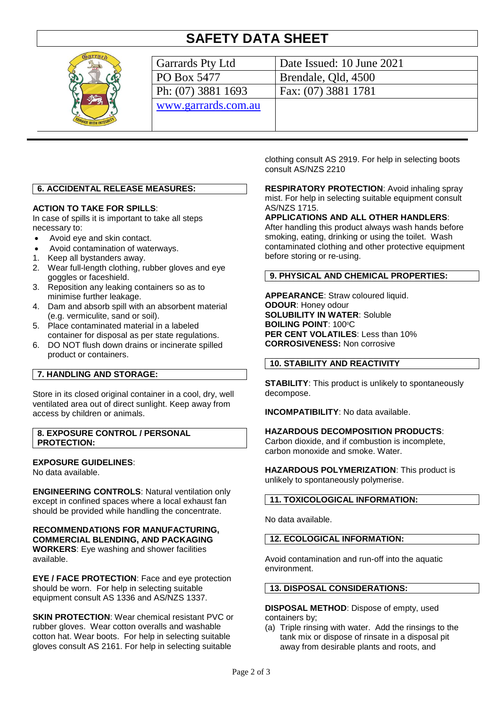# **SAFETY DATA SHEET**



| Garrards Pty Ltd    | Date Issued: 10 June 2021 |
|---------------------|---------------------------|
| PO Box 5477         | Brendale, Qld, 4500       |
| Ph: (07) 3881 1693  | Fax: (07) 3881 1781       |
| www.garrards.com.au |                           |
|                     |                           |
|                     |                           |

# **6. ACCIDENTAL RELEASE MEASURES:**

### **ACTION TO TAKE FOR SPILLS**:

In case of spills it is important to take all steps necessary to:

- Avoid eye and skin contact.
- Avoid contamination of waterways.
- 1. Keep all bystanders away.
- 2. Wear full-length clothing, rubber gloves and eye goggles or faceshield.
- 3. Reposition any leaking containers so as to minimise further leakage.
- 4. Dam and absorb spill with an absorbent material (e.g. vermiculite, sand or soil).
- 5. Place contaminated material in a labeled container for disposal as per state regulations.
- 6. DO NOT flush down drains or incinerate spilled product or containers.

## **7. HANDLING AND STORAGE:**

Store in its closed original container in a cool, dry, well ventilated area out of direct sunlight. Keep away from access by children or animals.

**8. EXPOSURE CONTROL / PERSONAL PROTECTION:**

### **EXPOSURE GUIDELINES**:

No data available.

**ENGINEERING CONTROLS**: Natural ventilation only except in confined spaces where a local exhaust fan should be provided while handling the concentrate.

**RECOMMENDATIONS FOR MANUFACTURING, COMMERCIAL BLENDING, AND PACKAGING WORKERS**: Eye washing and shower facilities available.

**EYE / FACE PROTECTION**: Face and eye protection should be worn. For help in selecting suitable equipment consult AS 1336 and AS/NZS 1337.

**SKIN PROTECTION:** Wear chemical resistant PVC or rubber gloves. Wear cotton overalls and washable cotton hat. Wear boots. For help in selecting suitable gloves consult AS 2161. For help in selecting suitable

clothing consult AS 2919. For help in selecting boots consult AS/NZS 2210

**RESPIRATORY PROTECTION**: Avoid inhaling spray mist. For help in selecting suitable equipment consult AS/NZS 1715.

**APPLICATIONS AND ALL OTHER HANDLERS**:

After handling this product always wash hands before smoking, eating, drinking or using the toilet. Wash contaminated clothing and other protective equipment before storing or re-using.

### **9. PHYSICAL AND CHEMICAL PROPERTIES:**

**APPEARANCE**: Straw coloured liquid. **ODOUR**: Honey odour **SOLUBILITY IN WATER**: Soluble **BOILING POINT: 100°C PER CENT VOLATILES**: Less than 10% **CORROSIVENESS:** Non corrosive

## **10. STABILITY AND REACTIVITY**

**STABILITY**: This product is unlikely to spontaneously decompose.

**INCOMPATIBILITY**: No data available.

### **HAZARDOUS DECOMPOSITION PRODUCTS**:

Carbon dioxide, and if combustion is incomplete, carbon monoxide and smoke. Water.

**HAZARDOUS POLYMERIZATION**: This product is unlikely to spontaneously polymerise.

### **11. TOXICOLOGICAL INFORMATION:**

No data available.

**12. ECOLOGICAL INFORMATION:**

Avoid contamination and run-off into the aquatic environment.

#### **13. DISPOSAL CONSIDERATIONS:**

**DISPOSAL METHOD**: Dispose of empty, used containers by;

(a) Triple rinsing with water. Add the rinsings to the tank mix or dispose of rinsate in a disposal pit away from desirable plants and roots, and